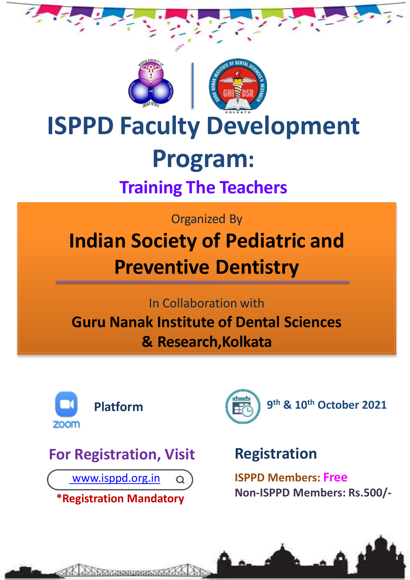



# **ISPPD Faculty Development Program:**

# **Training The Teachers**

Organized By

# **Indian Society of Pediatric and Preventive Dentistry**

In Collaboration with

**Guru Nanak Institute of Dental Sciences & Research,Kolkata**





# **Registration**

**ISPPD Members: Free Non-ISPPD Members: Rs.500/-**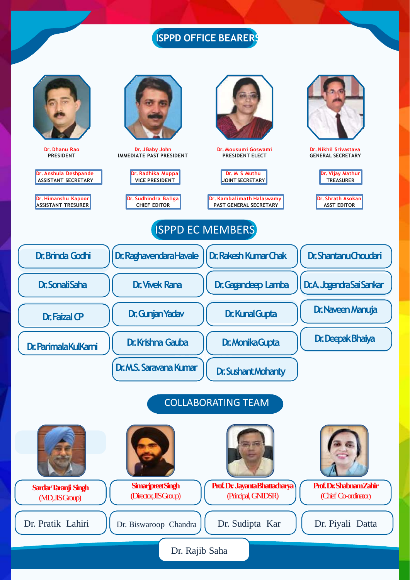# **ISPPD OFFICE BEARERS**

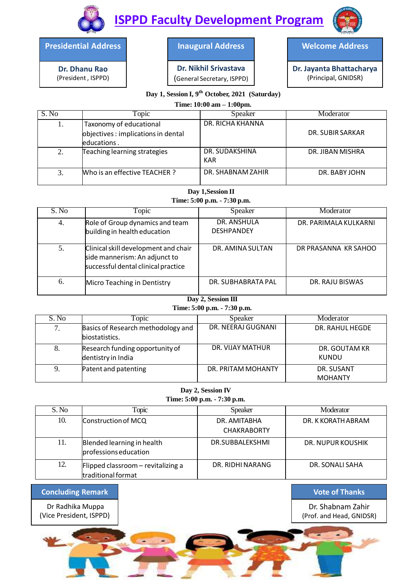

**ISPPD Faculty Development Program**

**Presidential Address**

**Dr. Dhanu Rao** (President , ISPPD)

#### **Inaugural Address**

**Dr. Nikhil Srivastava** (General Secretary, ISPPD) **Welcome Address**

**Dr. Jayanta Bhattacharya** (Principal, GNIDSR)

## **Day 1, Session I, 9 th October, 2021 (Saturday)**

### **Time: 10:00 am – 1:00pm.**

| S. No         | Topic                                                                         | Speaker               | Moderator        |
|---------------|-------------------------------------------------------------------------------|-----------------------|------------------|
|               | Taxonomy of educational<br>objectives: implications in dental<br>leducations. | DR. RICHA KHANNA      | DR. SUBIR SARKAR |
| $\mathcal{D}$ | Teaching learning strategies                                                  | DR. SUDAKSHINA<br>KAR | DR. JIBAN MISHRA |
| 3.            | Who is an effective TEACHER?                                                  | DR. SHABNAM ZAHIR     | DR. BABY JOHN    |

#### **Day 1,Session II**

**Time: 5:00 p.m. - 7:30 p.m.**

| S. No | Topic                                                                                                        | Speaker                          | Moderator             |
|-------|--------------------------------------------------------------------------------------------------------------|----------------------------------|-----------------------|
| 4.    | Role of Group dynamics and team<br>building in health education                                              | DR. ANSHULA<br><b>DESHPANDEY</b> | DR. PARIMALA KULKARNI |
| 5.    | Clinical skill development and chair<br>side mannerism: An adjunct to<br>successful dental clinical practice | DR. AMINA SULTAN                 | DR PRASANNA KR SAHOO  |
| 6.    | Micro Teaching in Dentistry                                                                                  | DR. SUBHABRATA PAL               | DR. RAJU BISWAS       |

### **Day 2, Session III**

**Time: 5:00 p.m. - 7:30 p.m.**

| S. No | <b>Topic</b>                                          | Speaker            | Moderator                    |
|-------|-------------------------------------------------------|--------------------|------------------------------|
| 7.    | Basics of Research methodology and<br>biostatistics.  | DR. NEERAJ GUGNANI | DR. RAHUL HEGDE              |
| 8.    | Research funding opportunity of<br>dentistry in India | DR. VIJAY MATHUR   | DR. GOUTAM KR<br>KUNDU       |
| 9.    | Patent and patenting                                  | DR. PRITAM MOHANTY | DR. SUSANT<br><b>MOHANTY</b> |

**Day 2, Session IV Time: 5:00 p.m. - 7:30 p.m.**

| S. No | Topic                                                    | Speaker                            | Moderator          |
|-------|----------------------------------------------------------|------------------------------------|--------------------|
| 10.   | Construction of MCQ                                      | DR. AMITABHA<br><b>CHAKRABORTY</b> | DR. K KORATH ABRAM |
| 11.   | Blended learning in health<br>professions education      | DR.SUBBALEKSHMI                    | DR. NUPUR KOUSHIK  |
| 12.   | Flipped classroom - revitalizing a<br>traditional format | DR. RIDHI NARANG                   | DR. SONALI SAHA    |

#### **Concluding Remark**

Dr Radhika Muppa (Vice President, ISPPD) **Vote of Thanks**

Dr. Shabnam Zahir (Prof. and Head, GNIDSR)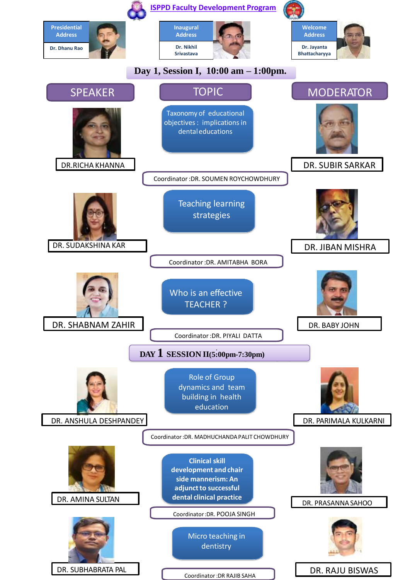